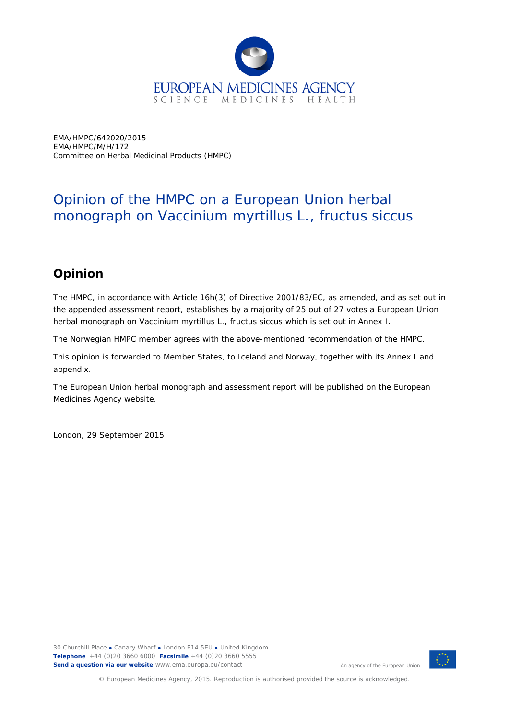

EMA/HMPC/642020/2015 EMA/HMPC/M/H/172 Committee on Herbal Medicinal Products (HMPC)

## Opinion of the HMPC on a European Union herbal monograph on *Vaccinium myrtillus* L., fructus siccus

## **Opinion**

The HMPC, in accordance with Article 16h(3) of Directive 2001/83/EC, as amended, and as set out in the appended assessment report, establishes by a majority of 25 out of 27 votes a European Union herbal monograph on *Vaccinium myrtillus* L., fructus siccus which is set out in Annex I.

The Norwegian HMPC member agrees with the above-mentioned recommendation of the HMPC.

This opinion is forwarded to Member States, to Iceland and Norway, together with its Annex I and appendix.

The European Union herbal monograph and assessment report will be published on the European Medicines Agency website.

London, 29 September 2015



An agency of the European Union

© European Medicines Agency, 2015. Reproduction is authorised provided the source is acknowledged.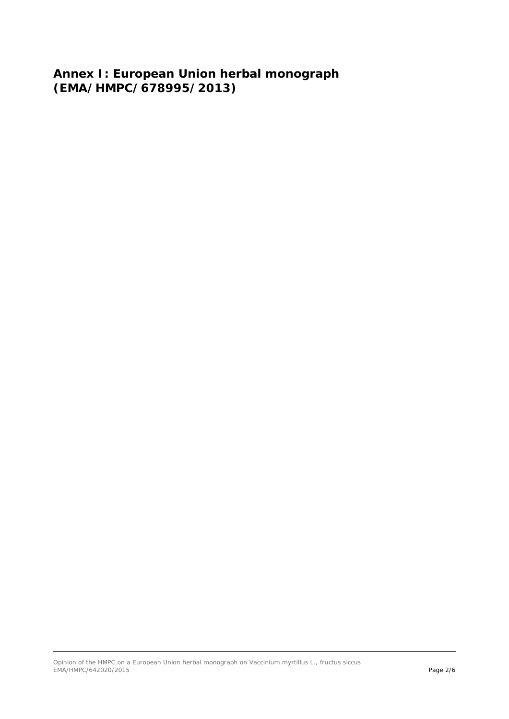**Annex I: European Union herbal monograph (EMA/HMPC/678995/2013)**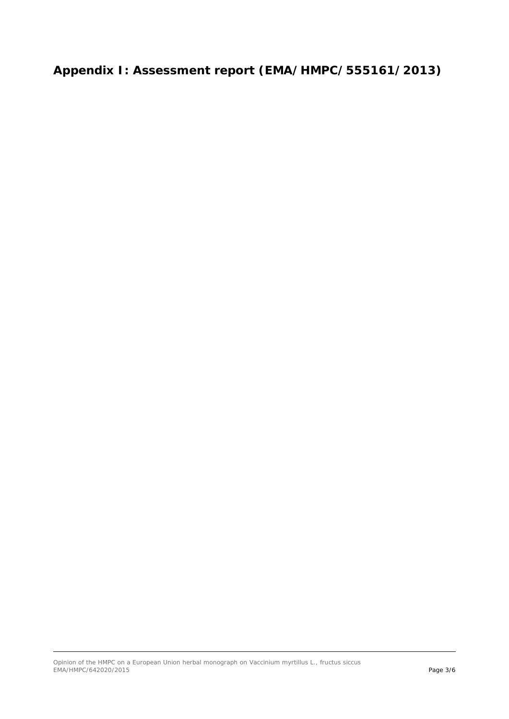## **Appendix I: Assessment report (EMA/HMPC/555161/2013)**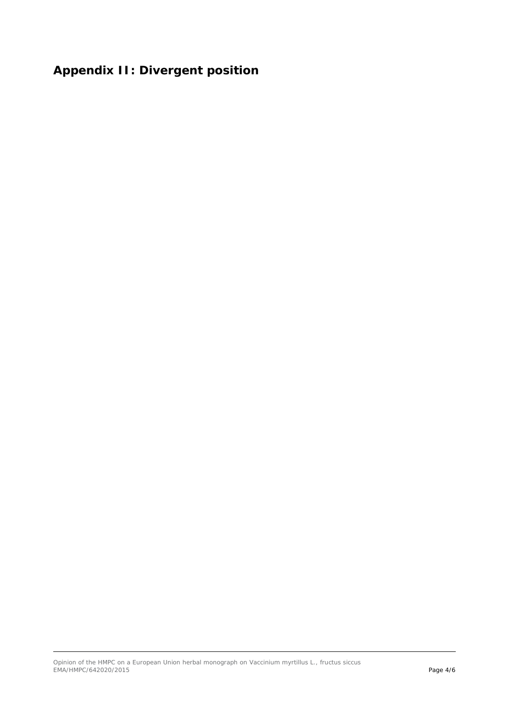## **Appendix II: Divergent position**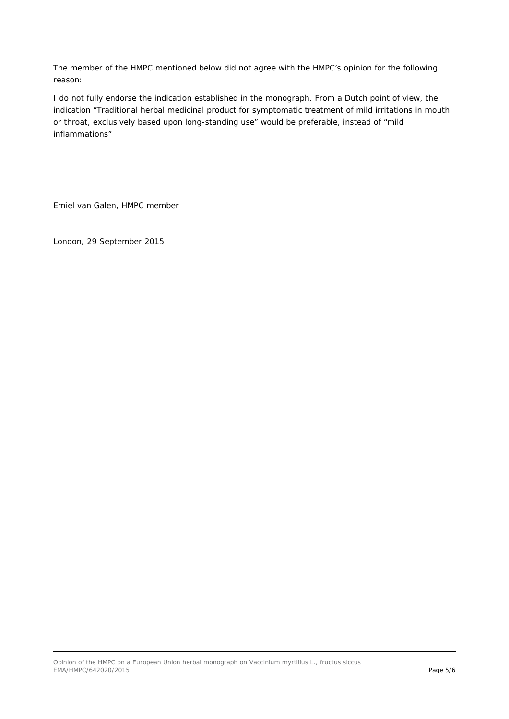The member of the HMPC mentioned below did not agree with the HMPC's opinion for the following reason:

I do not fully endorse the indication established in the monograph. From a Dutch point of view, the indication "Traditional herbal medicinal product for symptomatic treatment of mild irritations in mouth or throat, exclusively based upon long-standing use" would be preferable, instead of "mild inflammations"

Emiel van Galen, HMPC member

London, 29 September 2015